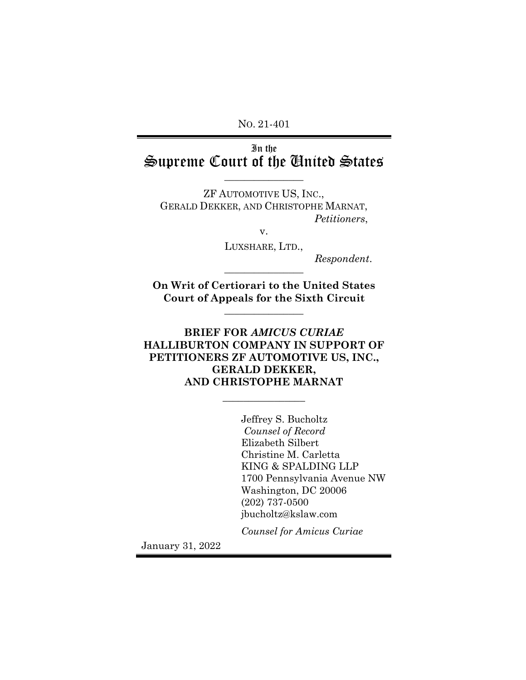NO. 21-401

# In the Supreme Court of the United States

\_\_\_\_\_\_\_\_\_\_\_\_\_\_\_\_

ZF AUTOMOTIVE US, INC., GERALD DEKKER, AND CHRISTOPHE MARNAT, *Petitioners*,

v.

LUXSHARE, LTD.,

 $Respondent.$ 

**On Writ of Certiorari to the United States Court of Appeals for the Sixth Circuit**

 $\overline{\phantom{a}}$  , where  $\overline{\phantom{a}}$ 

## **BRIEF FOR** *AMICUS CURIAE* **HALLIBURTON COMPANY IN SUPPORT OF PETITIONERS ZF AUTOMOTIVE US, INC., GERALD DEKKER, AND CHRISTOPHE MARNAT**

 $\overline{\phantom{a}}$  , where  $\overline{\phantom{a}}$ 

Jeffrey S. Bucholtz *Counsel of Record* Elizabeth Silbert Christine M. Carletta KING & SPALDING LLP 1700 Pennsylvania Avenue NW Washington, DC 20006 (202) 737-0500 jbucholtz@kslaw.com

*Counsel for Amicus Curiae*

January 31, 2022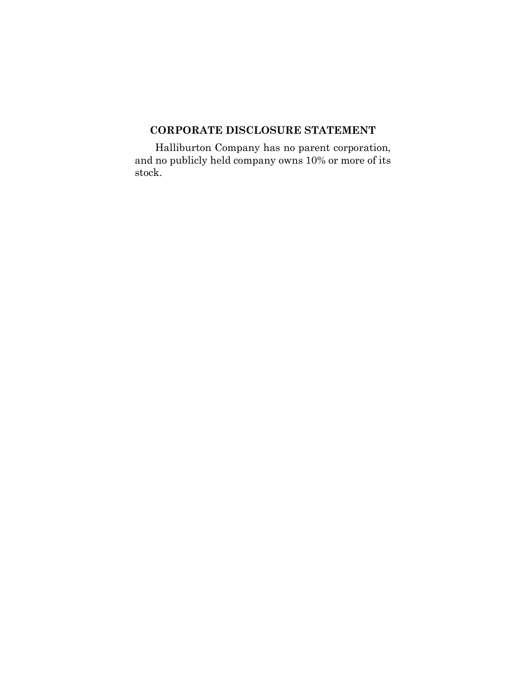## **CORPORATE DISCLOSURE STATEMENT**

Halliburton Company has no parent corporation, and no publicly held company owns 10% or more of its stock.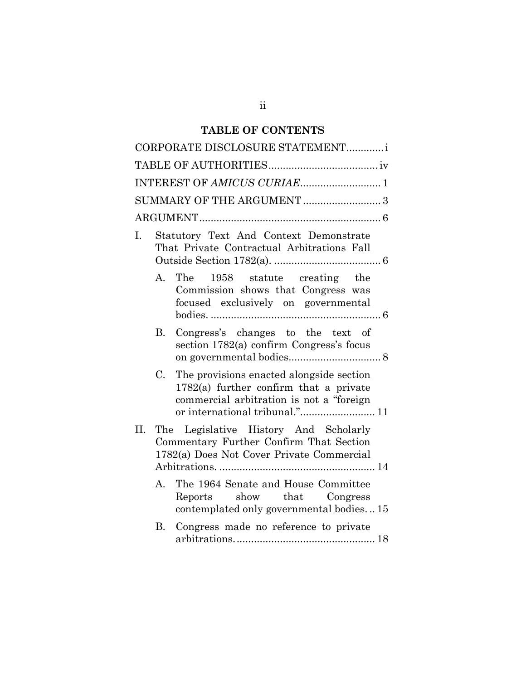# **TABLE OF CONTENTS**

|     | CORPORATE DISCLOSURE STATEMENTi                                                                                               |                                                                                                                                                                    |  |  |  |  |
|-----|-------------------------------------------------------------------------------------------------------------------------------|--------------------------------------------------------------------------------------------------------------------------------------------------------------------|--|--|--|--|
|     |                                                                                                                               |                                                                                                                                                                    |  |  |  |  |
|     |                                                                                                                               |                                                                                                                                                                    |  |  |  |  |
|     | SUMMARY OF THE ARGUMENT 3                                                                                                     |                                                                                                                                                                    |  |  |  |  |
|     |                                                                                                                               |                                                                                                                                                                    |  |  |  |  |
| I.  | Statutory Text And Context Demonstrate<br>That Private Contractual Arbitrations Fall                                          |                                                                                                                                                                    |  |  |  |  |
|     |                                                                                                                               | A. The 1958 statute creating the<br>Commission shows that Congress was<br>focused exclusively on governmental                                                      |  |  |  |  |
|     | B.                                                                                                                            | Congress's changes to the text of<br>section 1782(a) confirm Congress's focus                                                                                      |  |  |  |  |
|     | $C_{\cdot}$                                                                                                                   | The provisions enacted alongside section<br>$1782(a)$ further confirm that a private<br>commercial arbitration is not a "foreign<br>or international tribunal." 11 |  |  |  |  |
| II. | The Legislative History And Scholarly<br>Commentary Further Confirm That Section<br>1782(a) Does Not Cover Private Commercial |                                                                                                                                                                    |  |  |  |  |
|     | А.                                                                                                                            | The 1964 Senate and House Committee<br>Reports show that Congress<br>contemplated only governmental bodies15                                                       |  |  |  |  |
|     |                                                                                                                               | B. Congress made no reference to private                                                                                                                           |  |  |  |  |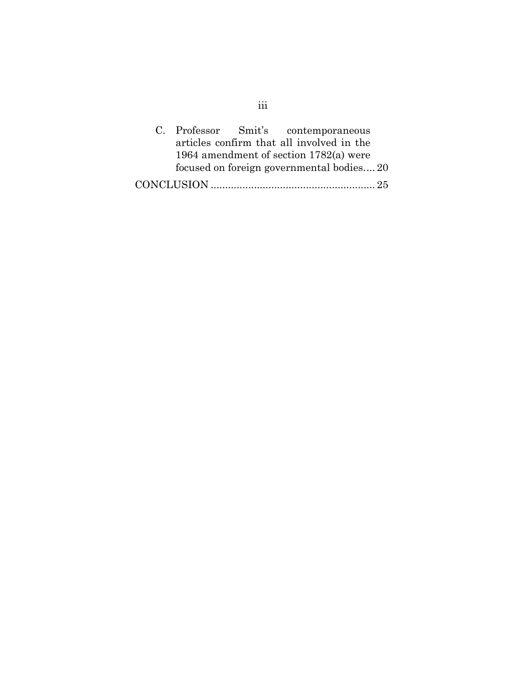|  | C. Professor Smit's contemporaneous       |  |
|--|-------------------------------------------|--|
|  | articles confirm that all involved in the |  |
|  | 1964 amendment of section $1782(a)$ were  |  |
|  | focused on foreign governmental bodies20  |  |
|  |                                           |  |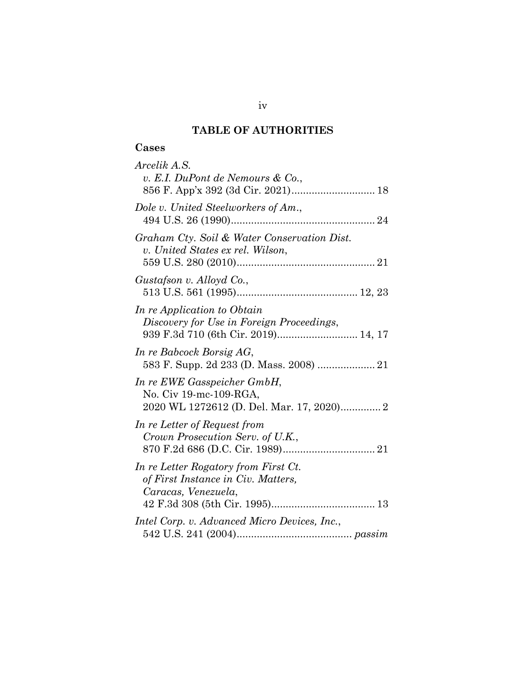## **TABLE OF AUTHORITIES**

## **Cases**

| Arcelik A.S.                                 |
|----------------------------------------------|
| v. E.I. DuPont de Nemours & Co.,             |
|                                              |
| Dole v. United Steelworkers of Am.,          |
|                                              |
| Graham Cty. Soil & Water Conservation Dist.  |
| v. United States ex rel. Wilson,             |
|                                              |
| Gustafson v. Alloyd Co.,                     |
|                                              |
| In re Application to Obtain                  |
| Discovery for Use in Foreign Proceedings,    |
|                                              |
| In re Babcock Borsig AG,                     |
| 583 F. Supp. 2d 233 (D. Mass. 2008)  21      |
| In re EWE Gasspeicher GmbH,                  |
| No. Civ 19-mc-109-RGA,                       |
| 2020 WL 1272612 (D. Del. Mar. 17, 2020) 2    |
| In re Letter of Request from                 |
| Crown Prosecution Serv. of U.K.,             |
|                                              |
| In re Letter Rogatory from First Ct.         |
| of First Instance in Civ. Matters,           |
| Caracas, Venezuela,                          |
|                                              |
| Intel Corp. v. Advanced Micro Devices, Inc., |
|                                              |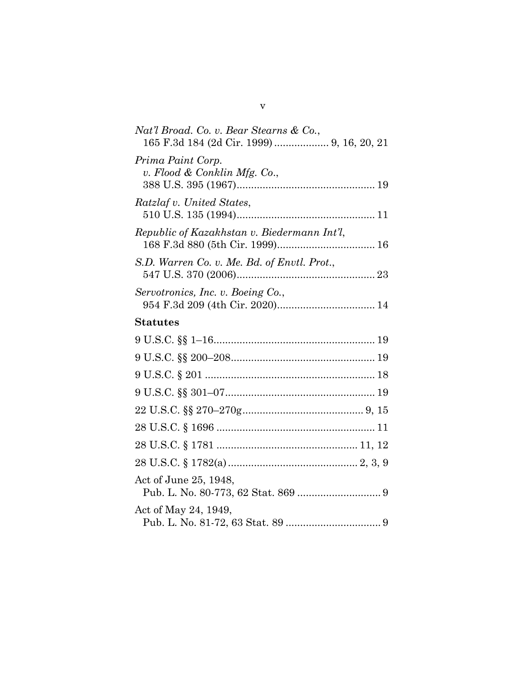| Nat'l Broad. Co. v. Bear Stearns & Co.,           |
|---------------------------------------------------|
| Prima Paint Corp.<br>v. Flood & Conklin Mfg. Co., |
| Ratzlaf v. United States,                         |
| Republic of Kazakhstan v. Biedermann Int'l,       |
| S.D. Warren Co. v. Me. Bd. of Envtl. Prot.,       |
| Servotronics, Inc. v. Boeing Co.,                 |
| <b>Statutes</b>                                   |
|                                                   |
|                                                   |
|                                                   |
|                                                   |
|                                                   |
|                                                   |
|                                                   |
|                                                   |
| Act of June 25, 1948,                             |
| Act of May 24, 1949,                              |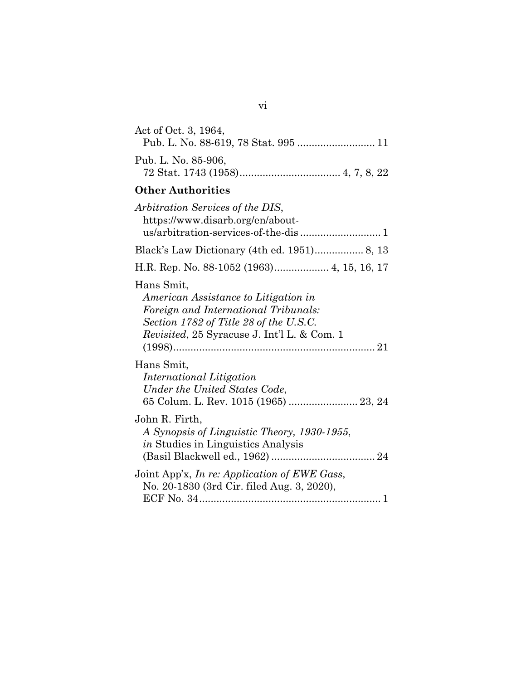| Act of Oct. 3, 1964,<br>Pub. L. No. 88-619, 78 Stat. 995  11                                                                                                                                   |
|------------------------------------------------------------------------------------------------------------------------------------------------------------------------------------------------|
| Pub. L. No. 85-906,                                                                                                                                                                            |
| <b>Other Authorities</b>                                                                                                                                                                       |
| Arbitration Services of the DIS,<br>https://www.disarb.org/en/about-                                                                                                                           |
| Black's Law Dictionary (4th ed. 1951) 8, 13                                                                                                                                                    |
| H.R. Rep. No. 88-1052 (1963) 4, 15, 16, 17                                                                                                                                                     |
| Hans Smit,<br>American Assistance to Litigation in<br>Foreign and International Tribunals:<br>Section 1782 of Title 28 of the U.S.C.<br><i>Revisited, 25 Syracuse J. Int'l L. &amp; Com. 1</i> |
| Hans Smit,<br>International Litigation<br>Under the United States Code,<br>65 Colum. L. Rev. 1015 (1965)  23, 24                                                                               |
| John R. Firth,<br>A Synopsis of Linguistic Theory, 1930-1955,<br><i>in</i> Studies in Linguistics Analysis                                                                                     |
| Joint App'x, In re: Application of EWE Gass,<br>No. 20-1830 (3rd Cir. filed Aug. 3, 2020),                                                                                                     |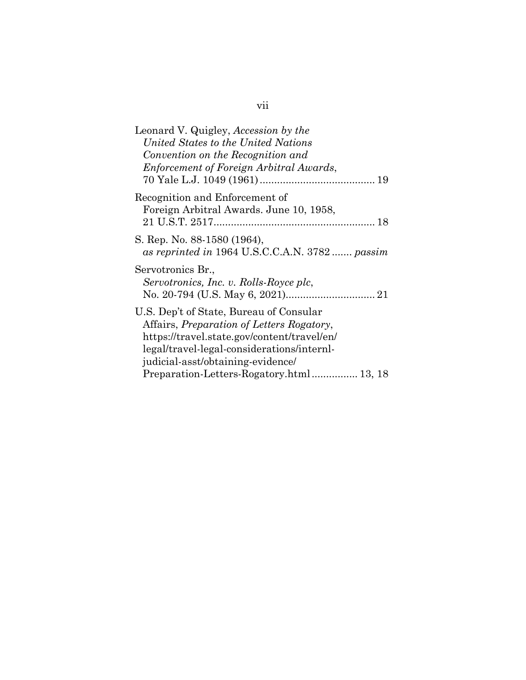| Leonard V. Quigley, <i>Accession by the</i><br>United States to the United Nations<br>Convention on the Recognition and<br>Enforcement of Foreign Arbitral Awards,                                                             |  |
|--------------------------------------------------------------------------------------------------------------------------------------------------------------------------------------------------------------------------------|--|
|                                                                                                                                                                                                                                |  |
| Recognition and Enforcement of<br>Foreign Arbitral Awards. June 10, 1958,                                                                                                                                                      |  |
| S. Rep. No. 88-1580 (1964),<br>as reprinted in 1964 U.S.C.C.A.N. 3782  passim                                                                                                                                                  |  |
| Servotronics Br.,<br>Servotronics, Inc. v. Rolls-Royce plc,                                                                                                                                                                    |  |
| U.S. Dep't of State, Bureau of Consular<br>Affairs, <i>Preparation of Letters Rogatory</i> ,<br>https://travel.state.gov/content/travel/en/<br>legal/travel-legal-considerations/internl-<br>judicial-asst/obtaining-evidence/ |  |
| Preparation-Letters-Rogatory.html 13, 18                                                                                                                                                                                       |  |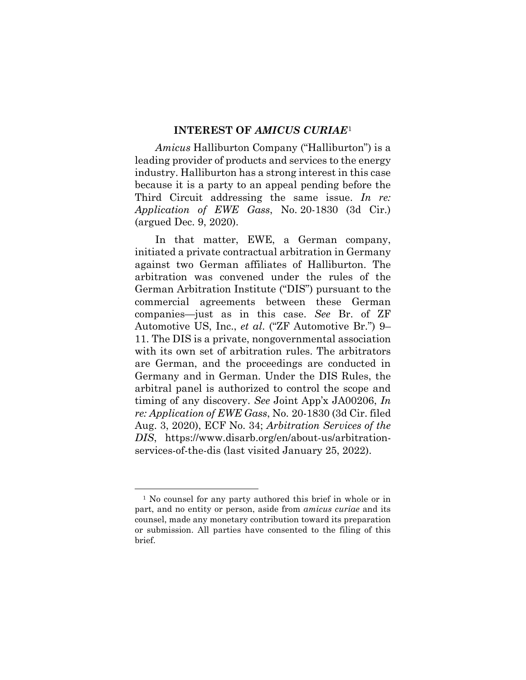#### **INTEREST OF** *AMICUS CURIAE*[1](#page-8-0)

*Amicus* Halliburton Company ("Halliburton") is a leading provider of products and services to the energy industry. Halliburton has a strong interest in this case because it is a party to an appeal pending before the Third Circuit addressing the same issue. *In re: Application of EWE Gass*, No. 20-1830 (3d Cir.) (argued Dec. 9, 2020).

In that matter, EWE, a German company, initiated a private contractual arbitration in Germany against two German affiliates of Halliburton. The arbitration was convened under the rules of the German Arbitration Institute ("DIS") pursuant to the commercial agreements between these German companies—just as in this case. *See* Br. of ZF Automotive US, Inc., *et al*. ("ZF Automotive Br.") 9– 11. The DIS is a private, nongovernmental association with its own set of arbitration rules. The arbitrators are German, and the proceedings are conducted in Germany and in German. Under the DIS Rules, the arbitral panel is authorized to control the scope and timing of any discovery. *See* Joint App'x JA00206, *In re: Application of EWE Gass*, No. 20-1830 (3d Cir. filed Aug. 3, 2020), ECF No. 34; *Arbitration Services of the DIS*, https://www.disarb.org/en/about-us/arbitrationservices-of-the-dis (last visited January 25, 2022).

<span id="page-8-0"></span><sup>&</sup>lt;sup>1</sup> No counsel for any party authored this brief in whole or in part, and no entity or person, aside from *amicus curiae* and its counsel, made any monetary contribution toward its preparation or submission. All parties have consented to the filing of this brief.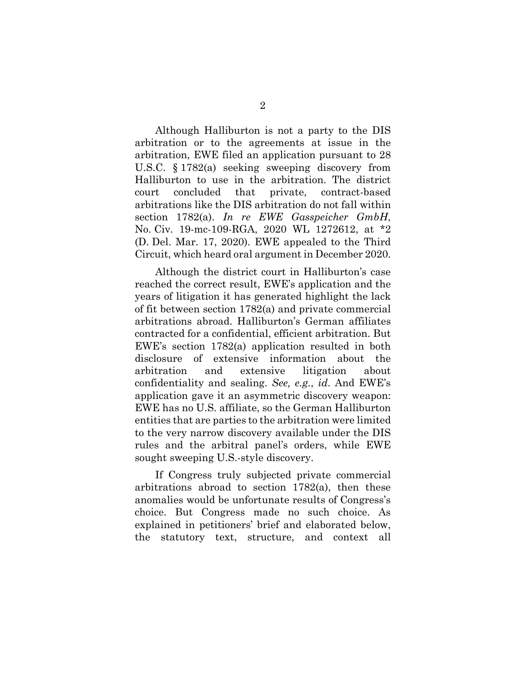Although Halliburton is not a party to the DIS arbitration or to the agreements at issue in the arbitration, EWE filed an application pursuant to 28 U.S.C. § 1782(a) seeking sweeping discovery from Halliburton to use in the arbitration. The district court concluded that private, contract-based arbitrations like the DIS arbitration do not fall within section 1782(a). *In re EWE Gasspeicher GmbH*, No. Civ. 19-mc-109-RGA, 2020 WL 1272612, at \*2 (D. Del. Mar. 17, 2020). EWE appealed to the Third Circuit, which heard oral argument in December 2020.

Although the district court in Halliburton's case reached the correct result, EWE's application and the years of litigation it has generated highlight the lack of fit between section 1782(a) and private commercial arbitrations abroad. Halliburton's German affiliates contracted for a confidential, efficient arbitration. But EWE's section 1782(a) application resulted in both disclosure of extensive information about the arbitration and extensive litigation about confidentiality and sealing. *See, e.g.*, *id*. And EWE's application gave it an asymmetric discovery weapon: EWE has no U.S. affiliate, so the German Halliburton entities that are parties to the arbitration were limited to the very narrow discovery available under the DIS rules and the arbitral panel's orders, while EWE sought sweeping U.S.-style discovery.

If Congress truly subjected private commercial arbitrations abroad to section 1782(a), then these anomalies would be unfortunate results of Congress's choice. But Congress made no such choice. As explained in petitioners' brief and elaborated below, the statutory text, structure, and context all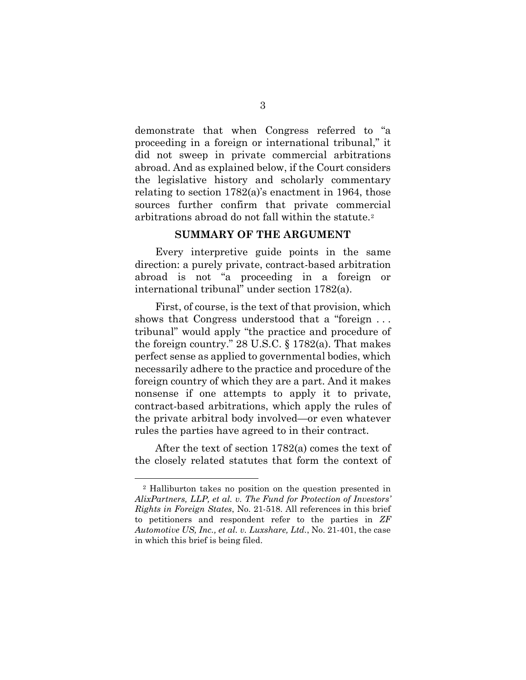demonstrate that when Congress referred to "a proceeding in a foreign or international tribunal," it did not sweep in private commercial arbitrations abroad. And as explained below, if the Court considers the legislative history and scholarly commentary relating to section 1782(a)'s enactment in 1964, those sources further confirm that private commercial arbitrations abroad do not fall within the statute.[2](#page-10-0)

#### **SUMMARY OF THE ARGUMENT**

Every interpretive guide points in the same direction: a purely private, contract-based arbitration abroad is not "a proceeding in a foreign or international tribunal" under section 1782(a).

First, of course, is the text of that provision, which shows that Congress understood that a "foreign . . . tribunal" would apply "the practice and procedure of the foreign country." 28 U.S.C. § 1782(a). That makes perfect sense as applied to governmental bodies, which necessarily adhere to the practice and procedure of the foreign country of which they are a part. And it makes nonsense if one attempts to apply it to private, contract-based arbitrations, which apply the rules of the private arbitral body involved—or even whatever rules the parties have agreed to in their contract.

After the text of section 1782(a) comes the text of the closely related statutes that form the context of

<span id="page-10-0"></span><sup>2</sup> Halliburton takes no position on the question presented in *AlixPartners, LLP, et al. v. The Fund for Protection of Investors' Rights in Foreign States*, No. 21-518. All references in this brief to petitioners and respondent refer to the parties in *ZF Automotive US, Inc., et al. v. Luxshare, Ltd.*, No. 21-401, the case in which this brief is being filed.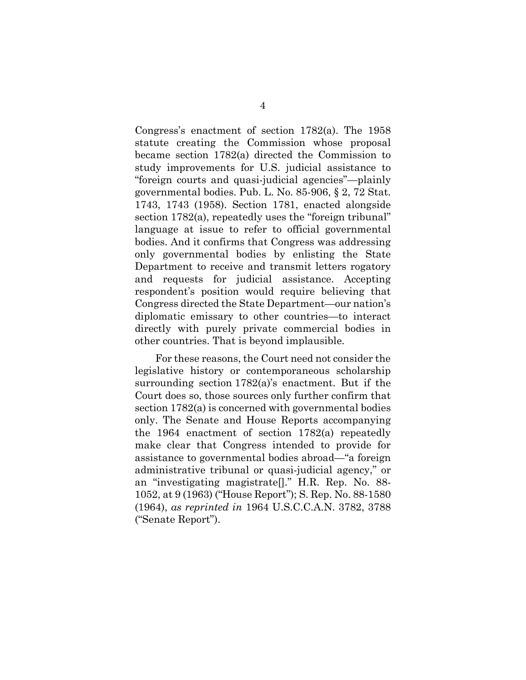Congress's enactment of section 1782(a). The 1958 statute creating the Commission whose proposal became section 1782(a) directed the Commission to study improvements for U.S. judicial assistance to "foreign courts and quasi-judicial agencies"—plainly governmental bodies. Pub. L. No. 85-906, § 2, 72 Stat. 1743, 1743 (1958). Section 1781, enacted alongside section 1782(a), repeatedly uses the "foreign tribunal" language at issue to refer to official governmental bodies. And it confirms that Congress was addressing only governmental bodies by enlisting the State Department to receive and transmit letters rogatory and requests for judicial assistance. Accepting respondent's position would require believing that Congress directed the State Department—our nation's diplomatic emissary to other countries—to interact directly with purely private commercial bodies in other countries. That is beyond implausible.

For these reasons, the Court need not consider the legislative history or contemporaneous scholarship surrounding section 1782(a)'s enactment. But if the Court does so, those sources only further confirm that section 1782(a) is concerned with governmental bodies only. The Senate and House Reports accompanying the 1964 enactment of section 1782(a) repeatedly make clear that Congress intended to provide for assistance to governmental bodies abroad—"a foreign administrative tribunal or quasi-judicial agency," or an "investigating magistrate[]." H.R. Rep. No. 88- 1052, at 9 (1963) ("House Report"); S. Rep. No. 88-1580 (1964), *as reprinted in* 1964 U.S.C.C.A.N. 3782, 3788 ("Senate Report").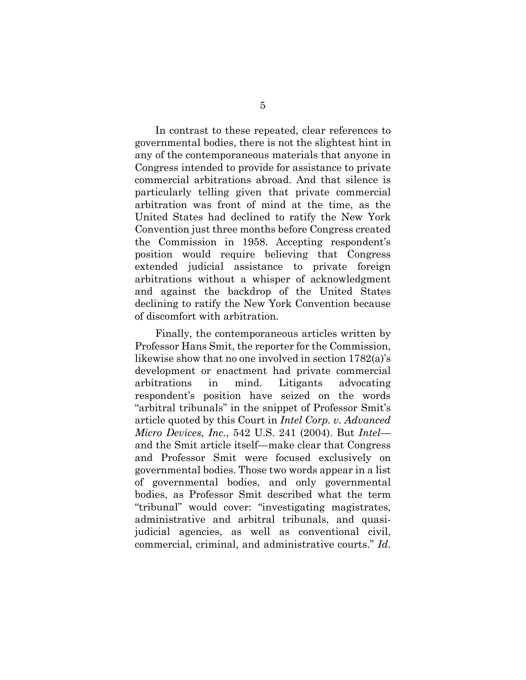In contrast to these repeated, clear references to governmental bodies, there is not the slightest hint in any of the contemporaneous materials that anyone in Congress intended to provide for assistance to private commercial arbitrations abroad. And that silence is particularly telling given that private commercial arbitration was front of mind at the time, as the United States had declined to ratify the New York Convention just three months before Congress created the Commission in 1958. Accepting respondent's position would require believing that Congress extended judicial assistance to private foreign arbitrations without a whisper of acknowledgment and against the backdrop of the United States declining to ratify the New York Convention because of discomfort with arbitration.

Finally, the contemporaneous articles written by Professor Hans Smit, the reporter for the Commission, likewise show that no one involved in section 1782(a)'s development or enactment had private commercial arbitrations in mind. Litigants advocating respondent's position have seized on the words "arbitral tribunals" in the snippet of Professor Smit's article quoted by this Court in *Intel Corp. v. Advanced Micro Devices, Inc.*, 542 U.S. 241 (2004). But *Intel* and the Smit article itself—make clear that Congress and Professor Smit were focused exclusively on governmental bodies. Those two words appear in a list of governmental bodies, and only governmental bodies, as Professor Smit described what the term "tribunal" would cover: "investigating magistrates, administrative and arbitral tribunals, and quasijudicial agencies, as well as conventional civil, commercial, criminal, and administrative courts." *Id*.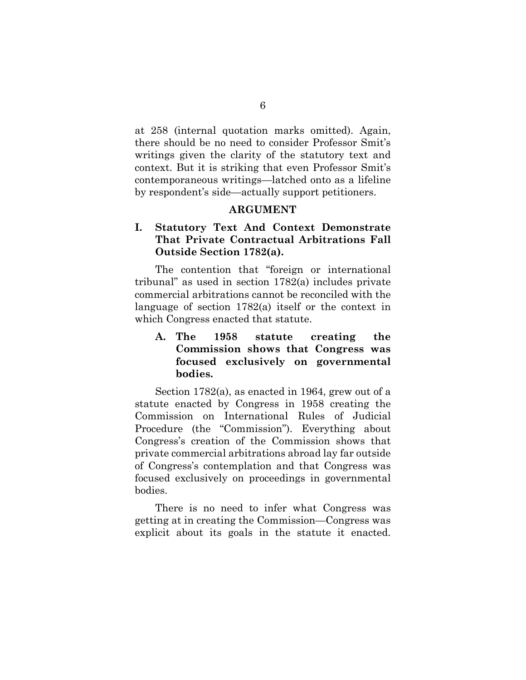at 258 (internal quotation marks omitted). Again, there should be no need to consider Professor Smit's writings given the clarity of the statutory text and context. But it is striking that even Professor Smit's contemporaneous writings—latched onto as a lifeline by respondent's side—actually support petitioners.

#### **ARGUMENT**

## **I. Statutory Text And Context Demonstrate That Private Contractual Arbitrations Fall Outside Section 1782(a).**

The contention that "foreign or international tribunal" as used in section 1782(a) includes private commercial arbitrations cannot be reconciled with the language of section 1782(a) itself or the context in which Congress enacted that statute.

## **A. The 1958 statute creating the Commission shows that Congress was focused exclusively on governmental bodies.**

Section 1782(a), as enacted in 1964, grew out of a statute enacted by Congress in 1958 creating the Commission on International Rules of Judicial Procedure (the "Commission"). Everything about Congress's creation of the Commission shows that private commercial arbitrations abroad lay far outside of Congress's contemplation and that Congress was focused exclusively on proceedings in governmental bodies.

There is no need to infer what Congress was getting at in creating the Commission—Congress was explicit about its goals in the statute it enacted.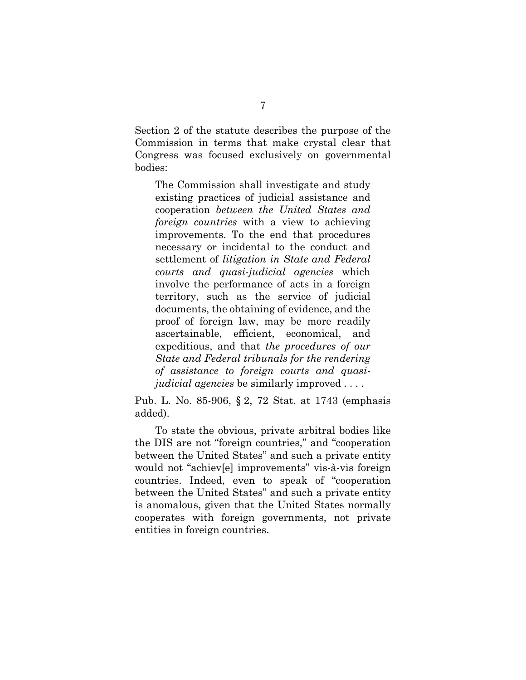Section 2 of the statute describes the purpose of the Commission in terms that make crystal clear that Congress was focused exclusively on governmental bodies:

The Commission shall investigate and study existing practices of judicial assistance and cooperation *between the United States and foreign countries* with a view to achieving improvements. To the end that procedures necessary or incidental to the conduct and settlement of *litigation in State and Federal courts and quasi-judicial agencies* which involve the performance of acts in a foreign territory, such as the service of judicial documents, the obtaining of evidence, and the proof of foreign law, may be more readily ascertainable, efficient, economical, and expeditious, and that *the procedures of our State and Federal tribunals for the rendering of assistance to foreign courts and quasijudicial agencies* be similarly improved . . . .

Pub. L. No. 85-906, § 2, 72 Stat. at 1743 (emphasis added).

To state the obvious, private arbitral bodies like the DIS are not "foreign countries," and "cooperation between the United States" and such a private entity would not "achiev[e] improvements" vis-à-vis foreign countries. Indeed, even to speak of "cooperation between the United States" and such a private entity is anomalous, given that the United States normally cooperates with foreign governments, not private entities in foreign countries.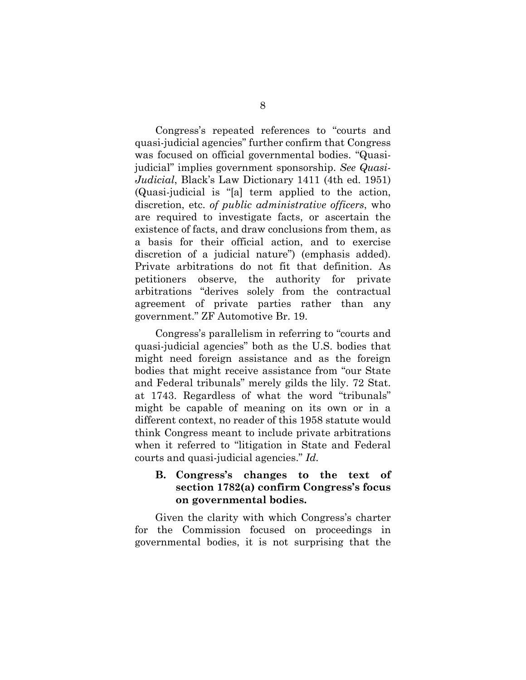Congress's repeated references to "courts and quasi-judicial agencies" further confirm that Congress was focused on official governmental bodies. "Quasijudicial" implies government sponsorship. *See Quasi-Judicial*, Black's Law Dictionary 1411 (4th ed. 1951) (Quasi-judicial is "[a] term applied to the action, discretion, etc. *of public administrative officers*, who are required to investigate facts, or ascertain the existence of facts, and draw conclusions from them, as a basis for their official action, and to exercise discretion of a judicial nature") (emphasis added). Private arbitrations do not fit that definition. As petitioners observe, the authority for private arbitrations "derives solely from the contractual agreement of private parties rather than any government." ZF Automotive Br. 19.

Congress's parallelism in referring to "courts and quasi-judicial agencies" both as the U.S. bodies that might need foreign assistance and as the foreign bodies that might receive assistance from "our State and Federal tribunals" merely gilds the lily. 72 Stat. at 1743. Regardless of what the word "tribunals" might be capable of meaning on its own or in a different context, no reader of this 1958 statute would think Congress meant to include private arbitrations when it referred to "litigation in State and Federal courts and quasi-judicial agencies." *Id.*

#### **B. Congress's changes to the text of section 1782(a) confirm Congress's focus on governmental bodies.**

Given the clarity with which Congress's charter for the Commission focused on proceedings in governmental bodies, it is not surprising that the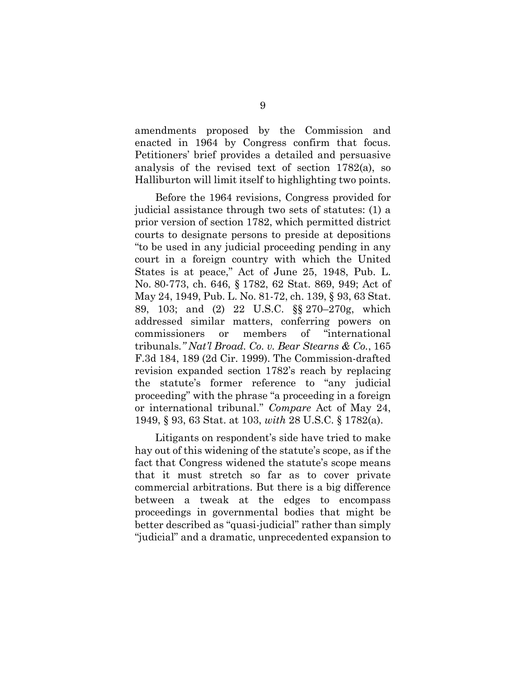amendments proposed by the Commission and enacted in 1964 by Congress confirm that focus. Petitioners' brief provides a detailed and persuasive analysis of the revised text of section 1782(a), so Halliburton will limit itself to highlighting two points.

Before the 1964 revisions, Congress provided for judicial assistance through two sets of statutes: (1) a prior version of section 1782, which permitted district courts to designate persons to preside at depositions "to be used in any judicial proceeding pending in any court in a foreign country with which the United States is at peace," Act of June 25, 1948, Pub. L. No. 80-773, ch. 646, § 1782, 62 Stat. 869, 949; Act of May 24, 1949, Pub. L. No. 81-72, ch. 139, § 93, 63 Stat. 89, 103; and (2) 22 U.S.C. §§ 270–270g, which addressed similar matters, conferring powers on commissioners or members of "international tribunals*." Nat'l Broad. Co. v. Bear Stearns & Co.*, 165 F.3d 184, 189 (2d Cir. 1999). The Commission-drafted revision expanded section 1782's reach by replacing the statute's former reference to "any judicial proceeding" with the phrase "a proceeding in a foreign or international tribunal." *Compare* Act of May 24, 1949, § 93, 63 Stat. at 103, *with* 28 U.S.C. § 1782(a).

Litigants on respondent's side have tried to make hay out of this widening of the statute's scope, as if the fact that Congress widened the statute's scope means that it must stretch so far as to cover private commercial arbitrations. But there is a big difference between a tweak at the edges to encompass proceedings in governmental bodies that might be better described as "quasi-judicial" rather than simply "judicial" and a dramatic, unprecedented expansion to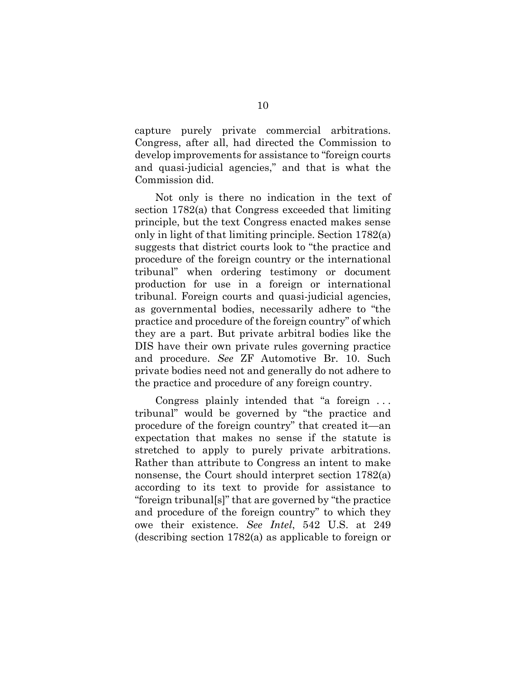capture purely private commercial arbitrations. Congress, after all, had directed the Commission to develop improvements for assistance to "foreign courts and quasi-judicial agencies," and that is what the Commission did.

Not only is there no indication in the text of section 1782(a) that Congress exceeded that limiting principle, but the text Congress enacted makes sense only in light of that limiting principle. Section 1782(a) suggests that district courts look to "the practice and procedure of the foreign country or the international tribunal" when ordering testimony or document production for use in a foreign or international tribunal. Foreign courts and quasi-judicial agencies, as governmental bodies, necessarily adhere to "the practice and procedure of the foreign country" of which they are a part. But private arbitral bodies like the DIS have their own private rules governing practice and procedure. *See* ZF Automotive Br. 10. Such private bodies need not and generally do not adhere to the practice and procedure of any foreign country.

Congress plainly intended that "a foreign . . . tribunal" would be governed by "the practice and procedure of the foreign country" that created it—an expectation that makes no sense if the statute is stretched to apply to purely private arbitrations. Rather than attribute to Congress an intent to make nonsense, the Court should interpret section 1782(a) according to its text to provide for assistance to "foreign tribunal[s]" that are governed by "the practice and procedure of the foreign country" to which they owe their existence. *See Intel*, 542 U.S. at 249 (describing section 1782(a) as applicable to foreign or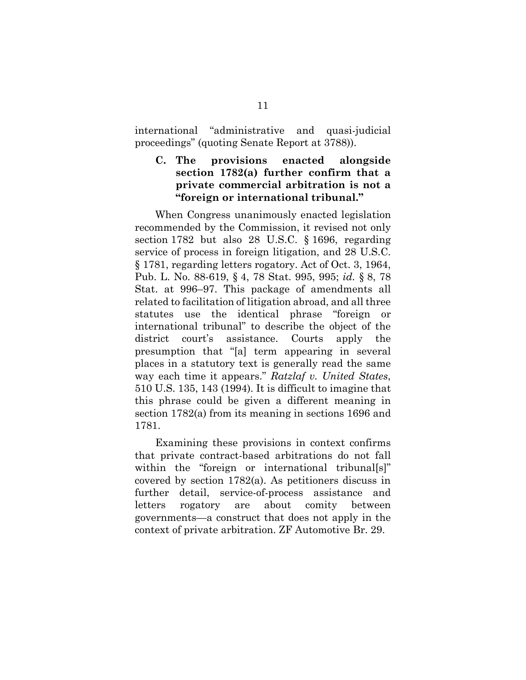international "administrative and quasi-judicial proceedings" (quoting Senate Report at 3788)).

### **C. The provisions enacted alongside section 1782(a) further confirm that a private commercial arbitration is not a "foreign or international tribunal."**

When Congress unanimously enacted legislation recommended by the Commission, it revised not only section 1782 but also 28 U.S.C. § 1696, regarding service of process in foreign litigation, and 28 U.S.C. § 1781, regarding letters rogatory. Act of Oct. 3, 1964, Pub. L. No. 88-619, § 4, 78 Stat. 995, 995; *id.* § 8, 78 Stat. at 996–97. This package of amendments all related to facilitation of litigation abroad, and all three statutes use the identical phrase "foreign or international tribunal" to describe the object of the district court's assistance. Courts apply the presumption that "[a] term appearing in several places in a statutory text is generally read the same way each time it appears." *Ratzlaf v. United States*, 510 U.S. 135, 143 (1994). It is difficult to imagine that this phrase could be given a different meaning in section 1782(a) from its meaning in sections 1696 and 1781.

Examining these provisions in context confirms that private contract-based arbitrations do not fall within the "foreign or international tribunal[s]" covered by section 1782(a). As petitioners discuss in further detail, service-of-process assistance and letters rogatory are about comity between governments—a construct that does not apply in the context of private arbitration. ZF Automotive Br. 29.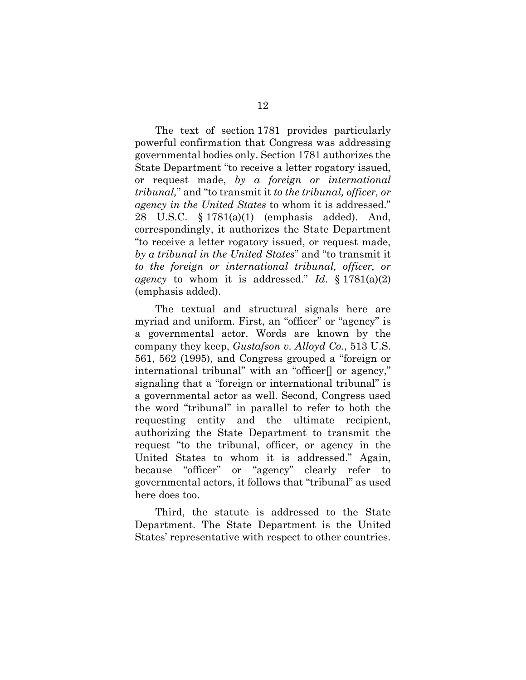The text of section 1781 provides particularly powerful confirmation that Congress was addressing governmental bodies only. Section 1781 authorizes the State Department "to receive a letter rogatory issued, or request made, *by a foreign or international tribunal,*" and "to transmit it *to the tribunal, officer, or agency in the United States* to whom it is addressed." 28 U.S.C. § 1781(a)(1) (emphasis added). And, correspondingly, it authorizes the State Department "to receive a letter rogatory issued, or request made, *by a tribunal in the United States*" and "to transmit it *to the foreign or international tribunal, officer, or agency* to whom it is addressed." *Id*. § 1781(a)(2) (emphasis added).

The textual and structural signals here are myriad and uniform. First, an "officer" or "agency" is a governmental actor. Words are known by the company they keep, *Gustafson v. Alloyd Co.*, 513 U.S. 561, 562 (1995), and Congress grouped a "foreign or international tribunal" with an "officer[] or agency," signaling that a "foreign or international tribunal" is a governmental actor as well. Second, Congress used the word "tribunal" in parallel to refer to both the requesting entity and the ultimate recipient, authorizing the State Department to transmit the request "to the tribunal, officer, or agency in the United States to whom it is addressed." Again, because "officer" or "agency" clearly refer to governmental actors, it follows that "tribunal" as used here does too.

Third, the statute is addressed to the State Department. The State Department is the United States' representative with respect to other countries.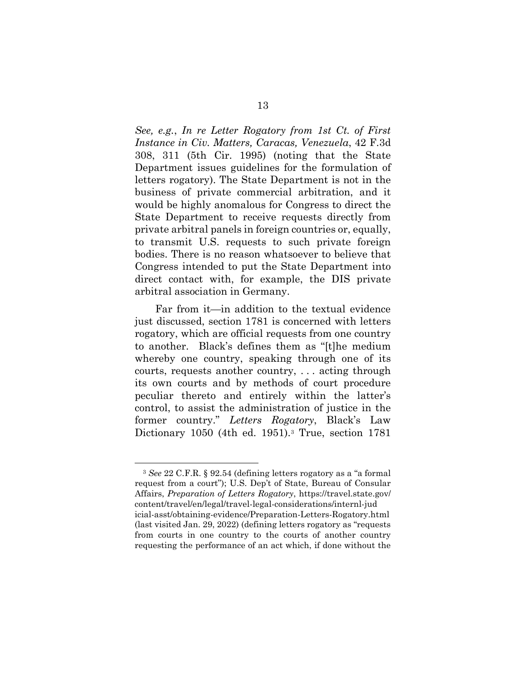*See, e.g.*, *In re Letter Rogatory from 1st Ct. of First Instance in Civ. Matters, Caracas, Venezuela*, 42 F.3d 308, 311 (5th Cir. 1995) (noting that the State Department issues guidelines for the formulation of letters rogatory). The State Department is not in the business of private commercial arbitration, and it would be highly anomalous for Congress to direct the State Department to receive requests directly from private arbitral panels in foreign countries or, equally, to transmit U.S. requests to such private foreign bodies. There is no reason whatsoever to believe that Congress intended to put the State Department into direct contact with, for example, the DIS private arbitral association in Germany.

Far from it—in addition to the textual evidence just discussed, section 1781 is concerned with letters rogatory, which are official requests from one country to another. Black's defines them as "[t]he medium whereby one country, speaking through one of its courts, requests another country, . . . acting through its own courts and by methods of court procedure peculiar thereto and entirely within the latter's control, to assist the administration of justice in the former country." *Letters Rogatory*, Black's Law Dictionary 1050 (4th ed. 1951).[3](#page-20-0) True, section 1781

<span id="page-20-0"></span><sup>3</sup> *See* 22 C.F.R. § 92.54 (defining letters rogatory as a "a formal request from a court"); U.S. Dep't of State, Bureau of Consular Affairs, *Preparation of Letters Rogatory*, https://travel.state.gov/ content/travel/en/legal/travel-legal-considerations/internl-jud icial-asst/obtaining-evidence/Preparation-Letters-Rogatory.html (last visited Jan. 29, 2022) (defining letters rogatory as "requests from courts in one country to the courts of another country requesting the performance of an act which, if done without the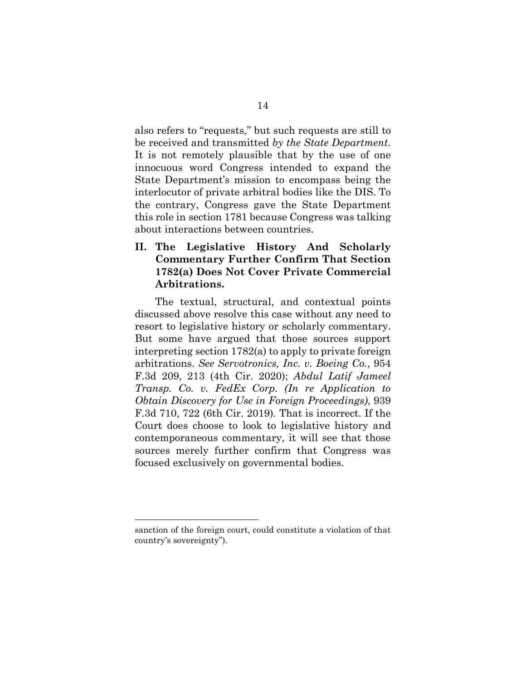also refers to "requests," but such requests are still to be received and transmitted *by the State Department*. It is not remotely plausible that by the use of one innocuous word Congress intended to expand the State Department's mission to encompass being the interlocutor of private arbitral bodies like the DIS. To the contrary, Congress gave the State Department this role in section 1781 because Congress was talking about interactions between countries.

**II. The Legislative History And Scholarly Commentary Further Confirm That Section 1782(a) Does Not Cover Private Commercial Arbitrations.** 

The textual, structural, and contextual points discussed above resolve this case without any need to resort to legislative history or scholarly commentary. But some have argued that those sources support interpreting section 1782(a) to apply to private foreign arbitrations. *See Servotronics, Inc. v. Boeing Co.*, 954 F.3d 209, 213 (4th Cir. 2020); *Abdul Latif Jameel Transp. Co. v. FedEx Corp. (In re Application to Obtain Discovery for Use in Foreign Proceedings)*, 939 F.3d 710, 722 (6th Cir. 2019). That is incorrect. If the Court does choose to look to legislative history and contemporaneous commentary, it will see that those sources merely further confirm that Congress was focused exclusively on governmental bodies.

sanction of the foreign court, could constitute a violation of that country's sovereignty").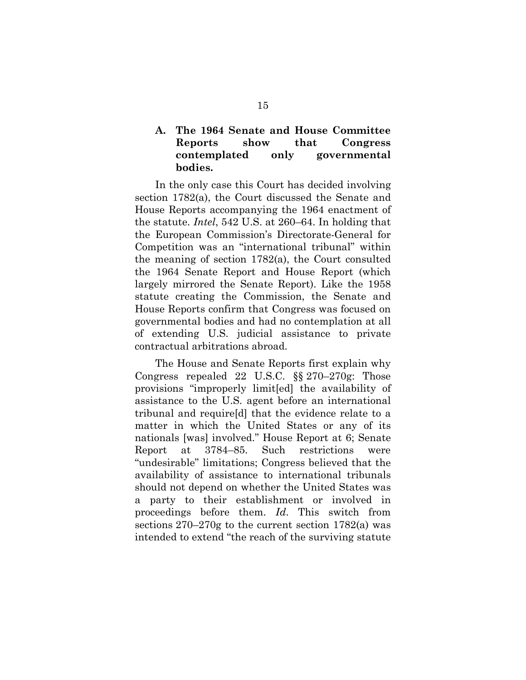### **A. The 1964 Senate and House Committee Reports show that Congress contemplated only governmental bodies.**

In the only case this Court has decided involving section 1782(a), the Court discussed the Senate and House Reports accompanying the 1964 enactment of the statute. *Intel*, 542 U.S. at 260–64. In holding that the European Commission's Directorate-General for Competition was an "international tribunal" within the meaning of section 1782(a), the Court consulted the 1964 Senate Report and House Report (which largely mirrored the Senate Report). Like the 1958 statute creating the Commission, the Senate and House Reports confirm that Congress was focused on governmental bodies and had no contemplation at all of extending U.S. judicial assistance to private contractual arbitrations abroad.

The House and Senate Reports first explain why Congress repealed 22 U.S.C. §§ 270–270g: Those provisions "improperly limit[ed] the availability of assistance to the U.S. agent before an international tribunal and require[d] that the evidence relate to a matter in which the United States or any of its nationals [was] involved." House Report at 6; Senate Report at 3784–85. Such restrictions were "undesirable" limitations; Congress believed that the availability of assistance to international tribunals should not depend on whether the United States was a party to their establishment or involved in proceedings before them. *Id*. This switch from sections 270–270g to the current section 1782(a) was intended to extend "the reach of the surviving statute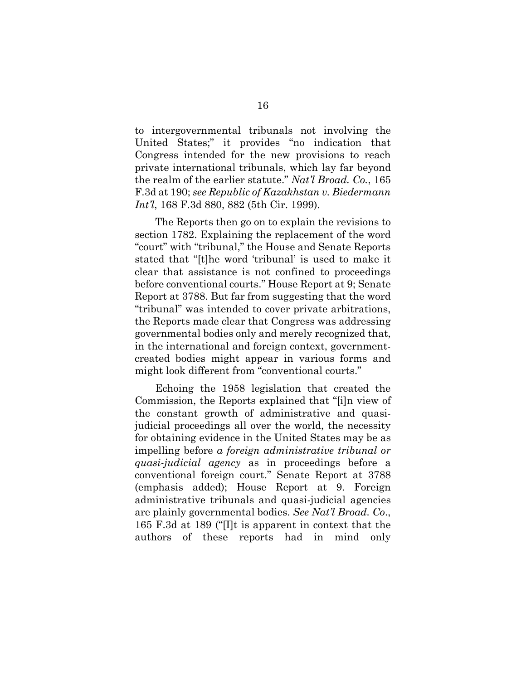to intergovernmental tribunals not involving the United States;" it provides "no indication that Congress intended for the new provisions to reach private international tribunals, which lay far beyond the realm of the earlier statute." *Nat'l Broad. Co.*, 165 F.3d at 190; *see Republic of Kazakhstan v. Biedermann Int'l*, 168 F.3d 880, 882 (5th Cir. 1999).

The Reports then go on to explain the revisions to section 1782. Explaining the replacement of the word "court" with "tribunal," the House and Senate Reports stated that "[t]he word 'tribunal' is used to make it clear that assistance is not confined to proceedings before conventional courts." House Report at 9; Senate Report at 3788. But far from suggesting that the word "tribunal" was intended to cover private arbitrations, the Reports made clear that Congress was addressing governmental bodies only and merely recognized that, in the international and foreign context, governmentcreated bodies might appear in various forms and might look different from "conventional courts."

Echoing the 1958 legislation that created the Commission, the Reports explained that "[i]n view of the constant growth of administrative and quasijudicial proceedings all over the world, the necessity for obtaining evidence in the United States may be as impelling before *a foreign administrative tribunal or quasi-judicial agency* as in proceedings before a conventional foreign court." Senate Report at 3788 (emphasis added); House Report at 9. Foreign administrative tribunals and quasi-judicial agencies are plainly governmental bodies. *See Nat'l Broad. Co*., 165 F.3d at 189 ("[I]t is apparent in context that the authors of these reports had in mind only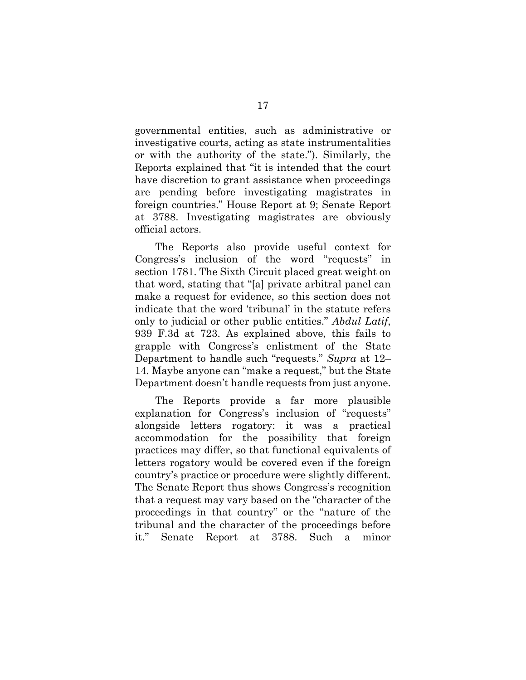governmental entities, such as administrative or investigative courts, acting as state instrumentalities or with the authority of the state."). Similarly, the Reports explained that "it is intended that the court have discretion to grant assistance when proceedings are pending before investigating magistrates in foreign countries." House Report at 9; Senate Report at 3788. Investigating magistrates are obviously official actors.

The Reports also provide useful context for Congress's inclusion of the word "requests" in section 1781. The Sixth Circuit placed great weight on that word, stating that "[a] private arbitral panel can make a request for evidence, so this section does not indicate that the word 'tribunal' in the statute refers only to judicial or other public entities." *Abdul Latif*, 939 F.3d at 723. As explained above, this fails to grapple with Congress's enlistment of the State Department to handle such "requests." *Supra* at 12– 14. Maybe anyone can "make a request," but the State Department doesn't handle requests from just anyone.

The Reports provide a far more plausible explanation for Congress's inclusion of "requests" alongside letters rogatory: it was a practical accommodation for the possibility that foreign practices may differ, so that functional equivalents of letters rogatory would be covered even if the foreign country's practice or procedure were slightly different. The Senate Report thus shows Congress's recognition that a request may vary based on the "character of the proceedings in that country" or the "nature of the tribunal and the character of the proceedings before it." Senate Report at 3788. Such a minor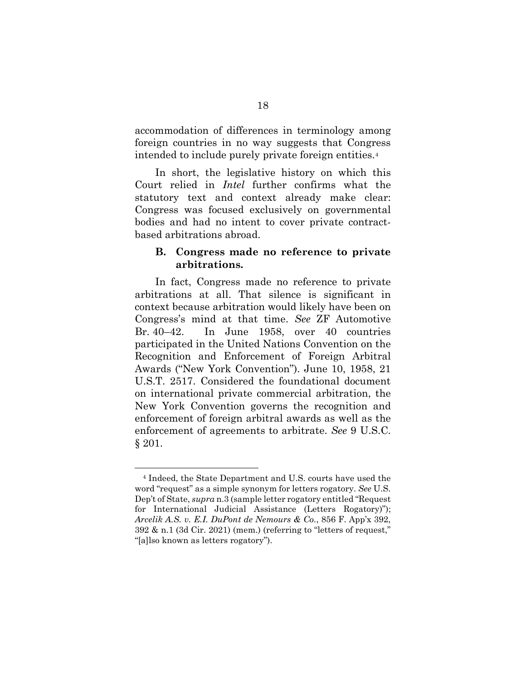accommodation of differences in terminology among foreign countries in no way suggests that Congress intended to include purely private foreign entities.[4](#page-25-0)

In short, the legislative history on which this Court relied in *Intel* further confirms what the statutory text and context already make clear: Congress was focused exclusively on governmental bodies and had no intent to cover private contractbased arbitrations abroad.

#### **B. Congress made no reference to private arbitrations.**

In fact, Congress made no reference to private arbitrations at all. That silence is significant in context because arbitration would likely have been on Congress's mind at that time. *See* ZF Automotive Br. 40–42. In June 1958, over 40 countries participated in the United Nations Convention on the Recognition and Enforcement of Foreign Arbitral Awards ("New York Convention"). June 10, 1958, 21 U.S.T. 2517. Considered the foundational document on international private commercial arbitration, the New York Convention governs the recognition and enforcement of foreign arbitral awards as well as the enforcement of agreements to arbitrate. *See* 9 U.S.C. § 201.

<span id="page-25-0"></span><sup>4</sup> Indeed, the State Department and U.S. courts have used the word "request" as a simple synonym for letters rogatory. *See* U.S. Dep't of State, *supra* n.3 (sample letter rogatory entitled "Request for International Judicial Assistance (Letters Rogatory)"); *Arcelik A.S. v. E.I. DuPont de Nemours & Co.*, 856 F. App'x 392, 392 & n.1 (3d Cir. 2021) (mem.) (referring to "letters of request," "[a]lso known as letters rogatory").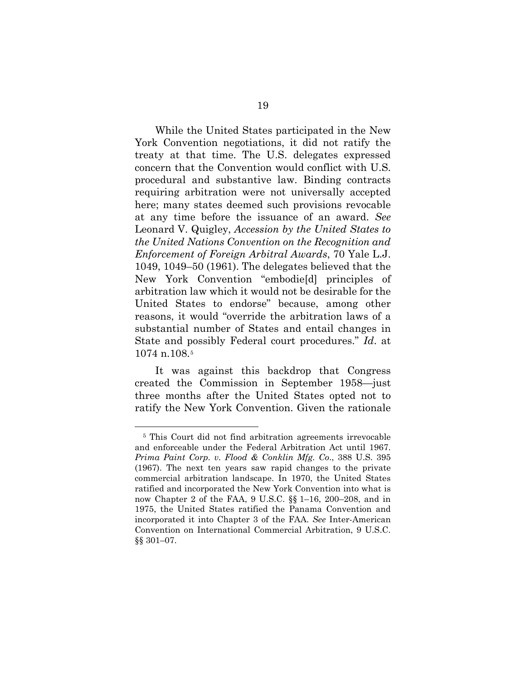While the United States participated in the New York Convention negotiations, it did not ratify the treaty at that time. The U.S. delegates expressed concern that the Convention would conflict with U.S. procedural and substantive law. Binding contracts requiring arbitration were not universally accepted here; many states deemed such provisions revocable at any time before the issuance of an award. *See*  Leonard V. Quigley, *Accession by the United States to the United Nations Convention on the Recognition and Enforcement of Foreign Arbitral Awards*, 70 Yale L.J. 1049, 1049–50 (1961). The delegates believed that the New York Convention "embodie[d] principles of arbitration law which it would not be desirable for the United States to endorse" because, among other reasons, it would "override the arbitration laws of a substantial number of States and entail changes in State and possibly Federal court procedures." *Id*. at 1074 n.108.[5](#page-26-0)

It was against this backdrop that Congress created the Commission in September 1958—just three months after the United States opted not to ratify the New York Convention. Given the rationale

<span id="page-26-0"></span><sup>5</sup> This Court did not find arbitration agreements irrevocable and enforceable under the Federal Arbitration Act until 1967. *Prima Paint Corp. v. Flood & Conklin Mfg. Co*., 388 U.S. 395 (1967). The next ten years saw rapid changes to the private commercial arbitration landscape. In 1970, the United States ratified and incorporated the New York Convention into what is now Chapter 2 of the FAA, 9 U.S.C. §§ 1–16, 200–208, and in 1975, the United States ratified the Panama Convention and incorporated it into Chapter 3 of the FAA. *See* Inter-American Convention on International Commercial Arbitration, 9 U.S.C. §§ 301–07.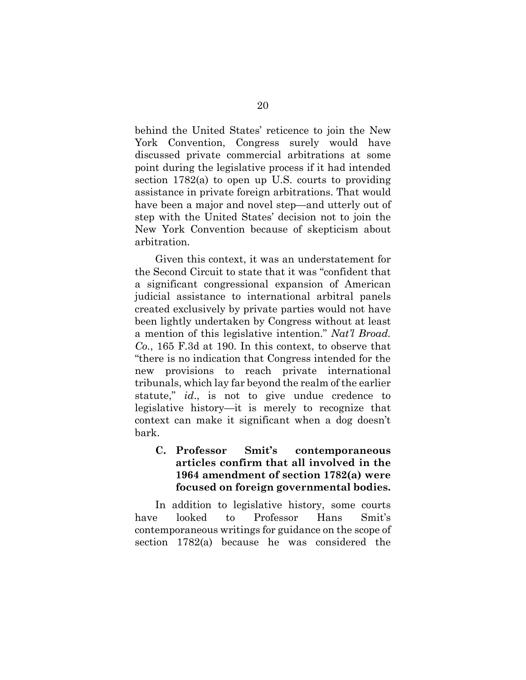behind the United States' reticence to join the New York Convention, Congress surely would have discussed private commercial arbitrations at some point during the legislative process if it had intended section 1782(a) to open up U.S. courts to providing assistance in private foreign arbitrations. That would have been a major and novel step—and utterly out of step with the United States' decision not to join the New York Convention because of skepticism about arbitration.

Given this context, it was an understatement for the Second Circuit to state that it was "confident that a significant congressional expansion of American judicial assistance to international arbitral panels created exclusively by private parties would not have been lightly undertaken by Congress without at least a mention of this legislative intention." *Nat'l Broad. Co.*, 165 F.3d at 190. In this context, to observe that "there is no indication that Congress intended for the new provisions to reach private international tribunals, which lay far beyond the realm of the earlier statute," *id*., is not to give undue credence to legislative history—it is merely to recognize that context can make it significant when a dog doesn't bark.

### **C. Professor Smit's contemporaneous articles confirm that all involved in the 1964 amendment of section 1782(a) were focused on foreign governmental bodies.**

In addition to legislative history, some courts have looked to Professor Hans Smit's contemporaneous writings for guidance on the scope of section 1782(a) because he was considered the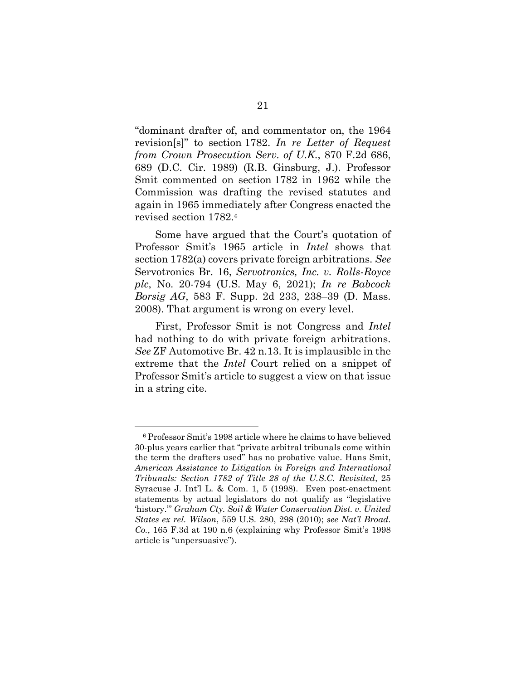"dominant drafter of, and commentator on, the 1964 revision[s]" to section 1782. *In re Letter of Request from Crown Prosecution Serv. of U.K.*, 870 F.2d 686, 689 (D.C. Cir. 1989) (R.B. Ginsburg, J.). Professor Smit commented on section 1782 in 1962 while the Commission was drafting the revised statutes and again in 1965 immediately after Congress enacted the revised section 1782.[6](#page-28-0)

Some have argued that the Court's quotation of Professor Smit's 1965 article in *Intel* shows that section 1782(a) covers private foreign arbitrations. *See*  Servotronics Br. 16, *Servotronics, Inc. v. Rolls-Royce plc*, No. 20-794 (U.S. May 6, 2021); *In re Babcock Borsig AG*, 583 F. Supp. 2d 233, 238–39 (D. Mass. 2008). That argument is wrong on every level.

First, Professor Smit is not Congress and *Intel*  had nothing to do with private foreign arbitrations. *See* ZF Automotive Br. 42 n.13. It is implausible in the extreme that the *Intel* Court relied on a snippet of Professor Smit's article to suggest a view on that issue in a string cite.

<span id="page-28-0"></span><sup>6</sup> Professor Smit's 1998 article where he claims to have believed 30-plus years earlier that "private arbitral tribunals come within the term the drafters used" has no probative value. Hans Smit, *American Assistance to Litigation in Foreign and International Tribunals: Section 1782 of Title 28 of the U.S.C. Revisited*, 25 Syracuse J. Int'l L. & Com. 1, 5 (1998). Even post-enactment statements by actual legislators do not qualify as "legislative 'history.'" *Graham Cty. Soil & Water Conservation Dist. v. United States ex rel. Wilson*, 559 U.S. 280, 298 (2010); *see Nat'l Broad. Co.*, 165 F.3d at 190 n.6 (explaining why Professor Smit's 1998 article is "unpersuasive").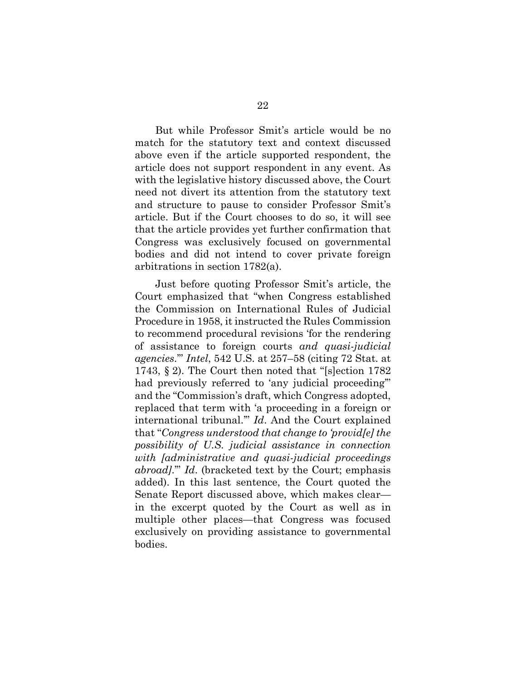But while Professor Smit's article would be no match for the statutory text and context discussed above even if the article supported respondent, the article does not support respondent in any event. As with the legislative history discussed above, the Court need not divert its attention from the statutory text and structure to pause to consider Professor Smit's article. But if the Court chooses to do so, it will see that the article provides yet further confirmation that Congress was exclusively focused on governmental bodies and did not intend to cover private foreign arbitrations in section 1782(a).

Just before quoting Professor Smit's article, the Court emphasized that "when Congress established the Commission on International Rules of Judicial Procedure in 1958, it instructed the Rules Commission to recommend procedural revisions 'for the rendering of assistance to foreign courts *and quasi-judicial agencies*.'" *Intel*, 542 U.S. at 257–58 (citing 72 Stat. at 1743, § 2). The Court then noted that "[s]ection 1782 had previously referred to 'any judicial proceeding'" and the "Commission's draft, which Congress adopted, replaced that term with 'a proceeding in a foreign or international tribunal.'" *Id*. And the Court explained that "*Congress understood that change to 'provid[e] the possibility of U.S. judicial assistance in connection with [administrative and quasi-judicial proceedings abroad]*.'" *Id*. (bracketed text by the Court; emphasis added). In this last sentence, the Court quoted the Senate Report discussed above, which makes clear in the excerpt quoted by the Court as well as in multiple other places—that Congress was focused exclusively on providing assistance to governmental bodies.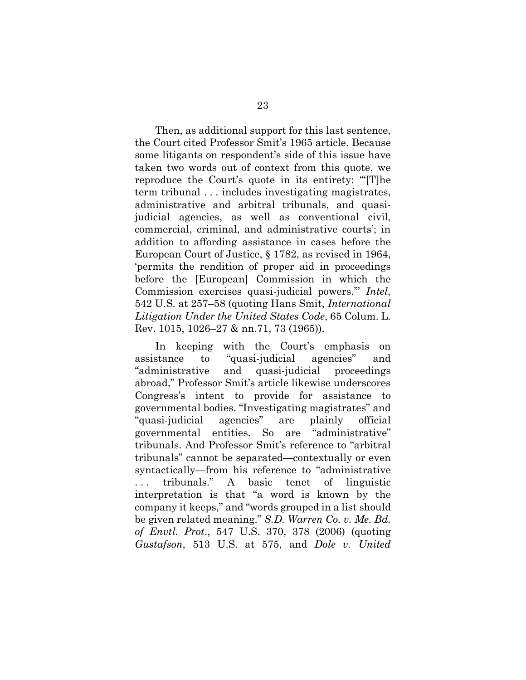Then, as additional support for this last sentence, the Court cited Professor Smit's 1965 article. Because some litigants on respondent's side of this issue have taken two words out of context from this quote, we reproduce the Court's quote in its entirety: "'[T]he term tribunal . . . includes investigating magistrates, administrative and arbitral tribunals, and quasijudicial agencies, as well as conventional civil, commercial, criminal, and administrative courts'; in addition to affording assistance in cases before the European Court of Justice, § 1782, as revised in 1964, 'permits the rendition of proper aid in proceedings before the [European] Commission in which the Commission exercises quasi-judicial powers.'" *Intel*, 542 U.S. at 257–58 (quoting Hans Smit, *International Litigation Under the United States Code*, 65 Colum. L. Rev. 1015, 1026–27 & nn.71, 73 (1965)).

In keeping with the Court's emphasis on assistance to "quasi-judicial agencies" and "administrative and quasi-judicial proceedings abroad," Professor Smit's article likewise underscores Congress's intent to provide for assistance to governmental bodies. "Investigating magistrates" and "quasi-judicial agencies" are plainly official governmental entities. So are "administrative" tribunals. And Professor Smit's reference to "arbitral tribunals" cannot be separated—contextually or even syntactically—from his reference to "administrative . . . tribunals." A basic tenet of linguistic interpretation is that "a word is known by the company it keeps," and "words grouped in a list should be given related meaning." *S.D. Warren Co. v. Me. Bd. of Envtl. Prot*., 547 U.S. 370, 378 (2006) (quoting *Gustafson*, 513 U.S. at 575, and *Dole v. United*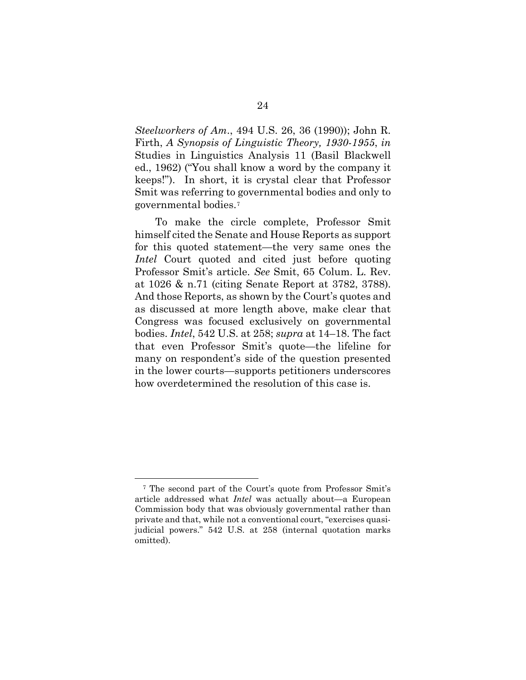*Steelworkers of Am*., 494 U.S. 26, 36 (1990)); John R. Firth, *A Synopsis of Linguistic Theory, 1930-1955*, *in*  Studies in Linguistics Analysis 11 (Basil Blackwell ed., 1962) ("You shall know a word by the company it keeps!"). In short, it is crystal clear that Professor Smit was referring to governmental bodies and only to governmental bodies.[7](#page-31-0)

To make the circle complete, Professor Smit himself cited the Senate and House Reports as support for this quoted statement—the very same ones the *Intel* Court quoted and cited just before quoting Professor Smit's article. *See* Smit, 65 Colum. L. Rev. at 1026 & n.71 (citing Senate Report at 3782, 3788). And those Reports, as shown by the Court's quotes and as discussed at more length above, make clear that Congress was focused exclusively on governmental bodies. *Intel*, 542 U.S. at 258; *supra* at 14–18. The fact that even Professor Smit's quote—the lifeline for many on respondent's side of the question presented in the lower courts—supports petitioners underscores how overdetermined the resolution of this case is.

<span id="page-31-0"></span><sup>7</sup> The second part of the Court's quote from Professor Smit's article addressed what *Intel* was actually about—a European Commission body that was obviously governmental rather than private and that, while not a conventional court, "exercises quasijudicial powers." 542 U.S. at 258 (internal quotation marks omitted).